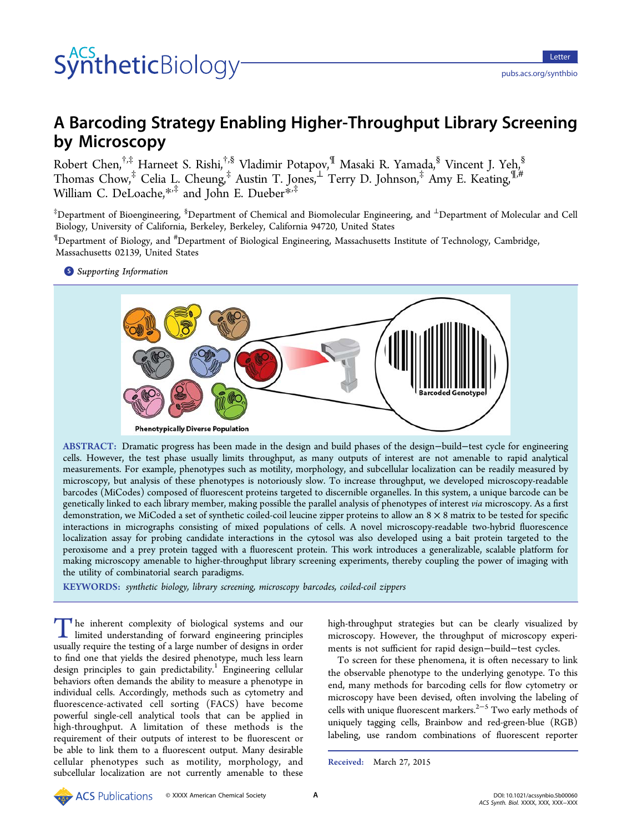# A Barcoding Strategy Enabling Higher-Throughput Library Screening by Microscopy

Robert Chen,[†](#page-10-0),‡ Harneet S. Rishi,[†](#page-10-0),§ Vladimir Potapov,¶ Masaki R. Yamada,§ Vincent J. Yeh,§ Thomas Chow,<sup>‡</sup> Celia L. Cheung,<sup>‡</sup> Austin T. Jones,<sup>⊥</sup> Terry D. Johnson,<sup>‡</sup> Amy E. Keating,  $^{\mathbb{I},\#}$ William C. DeLoache,[\\*](#page-10-0),‡ and John E. Dueber[\\*](#page-10-0),‡

‡Department of Bioengineering, <sup>§</sup>Department of Chemical and Biomolecular Engineering, and <sup>⊥</sup>Department of Molecular and Cell Biology, University of California, Berkeley, Berkeley, California 94720, United States

 $^{\rm\P}$ Department of Biology, and  $^{\rm \#}$ Department of Biological Engineering, Massachusetts Institute of Technology, Cambridge, Massachusetts 02139, United States

## **S** [Supporting Information](#page-10-0)



ABSTRACT: Dramatic progress has been made in the design and build phases of the design−build−test cycle for engineering cells. However, the test phase usually limits throughput, as many outputs of interest are not amenable to rapid analytical measurements. For example, phenotypes such as motility, morphology, and subcellular localization can be readily measured by microscopy, but analysis of these phenotypes is notoriously slow. To increase throughput, we developed microscopy-readable barcodes (MiCodes) composed of fluorescent proteins targeted to discernible organelles. In this system, a unique barcode can be genetically linked to each library member, making possible the parallel analysis of phenotypes of interest via microscopy. As a first demonstration, we MiCoded a set of synthetic coiled-coil leucine zipper proteins to allow an 8 × 8 matrix to be tested for specific interactions in micrographs consisting of mixed populations of cells. A novel microscopy-readable two-hybrid fluorescence localization assay for probing candidate interactions in the cytosol was also developed using a bait protein targeted to the peroxisome and a prey protein tagged with a fluorescent protein. This work introduces a generalizable, scalable platform for making microscopy amenable to higher-throughput library screening experiments, thereby coupling the power of imaging with the utility of combinatorial search paradigms.

KEYWORDS: synthetic biology, library screening, microscopy barcodes, coiled-coil zippers

The inherent complexity of biological systems and our limited understanding of forward engineering principles usually require the testing of a large number of designs in order to find one that yields the desired phenotype, much less learn design principles to gain predictability.<sup>[1](#page-10-0)</sup> Engineering cellular behaviors often demands the ability to measure a phenotype in individual cells. Accordingly, methods such as cytometry and fluorescence-activated cell sorting (FACS) have become powerful single-cell analytical tools that can be applied in high-throughput. A limitation of these methods is the requirement of their outputs of interest to be fluorescent or be able to link them to a fluorescent output. Many desirable cellular phenotypes such as motility, morphology, and subcellular localization are not currently amenable to these

high-throughput strategies but can be clearly visualized by microscopy. However, the throughput of microscopy experiments is not sufficient for rapid design−build−test cycles.

To screen for these phenomena, it is often necessary to link the observable phenotype to the underlying genotype. To this end, many methods for barcoding cells for flow cytometry or microscopy have been devised, often involving the labeling of cells with unique fluorescent markers.<sup>[2](#page-10-0)−[5](#page-10-0)</sup> Two early methods of uniquely tagging cells, Brainbow and red-green-blue (RGB) labeling, use random combinations of fluorescent reporter

Received: March 27, 2015

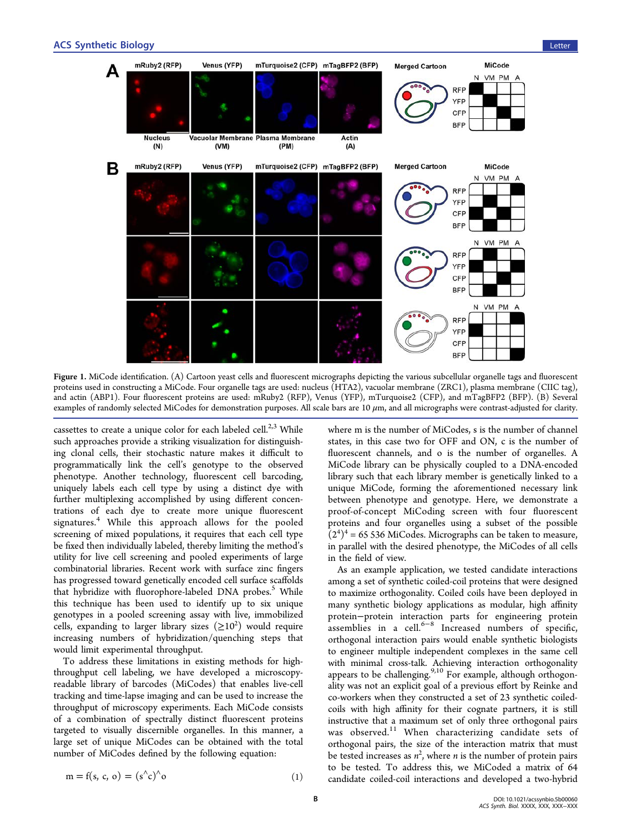<span id="page-1-0"></span>

Figure 1. MiCode identification. (A) Cartoon yeast cells and fluorescent micrographs depicting the various subcellular organelle tags and fluorescent proteins used in constructing a MiCode. Four organelle tags are used: nucleus (HTA2), vacuolar membrane (ZRC1), plasma membrane (CIIC tag), and actin (ABP1). Four fluorescent proteins are used: mRuby2 (RFP), Venus (YFP), mTurquoise2 (CFP), and mTagBFP2 (BFP). (B) Several examples of randomly selected MiCodes for demonstration purposes. All scale bars are 10 μm, and all micrographs were contrast-adjusted for clarity.

cassettes to create a unique color for each labeled cell. $2,3$  $2,3$  $2,3$  While such approaches provide a striking visualization for distinguishing clonal cells, their stochastic nature makes it difficult to programmatically link the cell's genotype to the observed phenotype. Another technology, fluorescent cell barcoding, uniquely labels each cell type by using a distinct dye with further multiplexing accomplished by using different concentrations of each dye to create more unique fluorescent signatures.[4](#page-10-0) While this approach allows for the pooled screening of mixed populations, it requires that each cell type be fixed then individually labeled, thereby limiting the method's utility for live cell screening and pooled experiments of large combinatorial libraries. Recent work with surface zinc fingers has progressed toward genetically encoded cell surface scaffolds that hybridize with fluorophore-labeled DNA probes.<sup>[5](#page-10-0)</sup> While this technique has been used to identify up to six unique genotypes in a pooled screening assay with live, immobilized cells, expanding to larger library sizes  $(\geq 10^2)$  would require increasing numbers of hybridization/quenching steps that would limit experimental throughput.

To address these limitations in existing methods for highthroughput cell labeling, we have developed a microscopyreadable library of barcodes (MiCodes) that enables live-cell tracking and time-lapse imaging and can be used to increase the throughput of microscopy experiments. Each MiCode consists of a combination of spectrally distinct fluorescent proteins targeted to visually discernible organelles. In this manner, a large set of unique MiCodes can be obtained with the total number of MiCodes defined by the following equation:

$$
m = f(s, c, o) = (s^c)^ o
$$
 (1)

where m is the number of MiCodes, s is the number of channel states, in this case two for OFF and ON, c is the number of fluorescent channels, and o is the number of organelles. A MiCode library can be physically coupled to a DNA-encoded library such that each library member is genetically linked to a unique MiCode, forming the aforementioned necessary link between phenotype and genotype. Here, we demonstrate a proof-of-concept MiCoding screen with four fluorescent proteins and four organelles using a subset of the possible  $(2<sup>4</sup>)<sup>4</sup> = 65 536$  MiCodes. Micrographs can be taken to measure, in parallel with the desired phenotype, the MiCodes of all cells in the field of view.

As an example application, we tested candidate interactions among a set of synthetic coiled-coil proteins that were designed to maximize orthogonality. Coiled coils have been deployed in many synthetic biology applications as modular, high affinity protein−protein interaction parts for engineering protein assemblies in a cell.[6](#page-10-0)−[8](#page-10-0) Increased numbers of specific, orthogonal interaction pairs would enable synthetic biologists to engineer multiple independent complexes in the same cell with minimal cross-talk. Achieving interaction orthogonality appears to be challenging. $9,10$  For example, although orthogonality was not an explicit goal of a previous effort by Reinke and co-workers when they constructed a set of 23 synthetic coiledcoils with high affinity for their cognate partners, it is still instructive that a maximum set of only three orthogonal pairs was observed.<sup>[11](#page-10-0)</sup> When characterizing candidate sets of orthogonal pairs, the size of the interaction matrix that must be tested increases as  $n^2$ , where n is the number of protein pairs to be tested. To address this, we MiCoded a matrix of 64 candidate coiled-coil interactions and developed a two-hybrid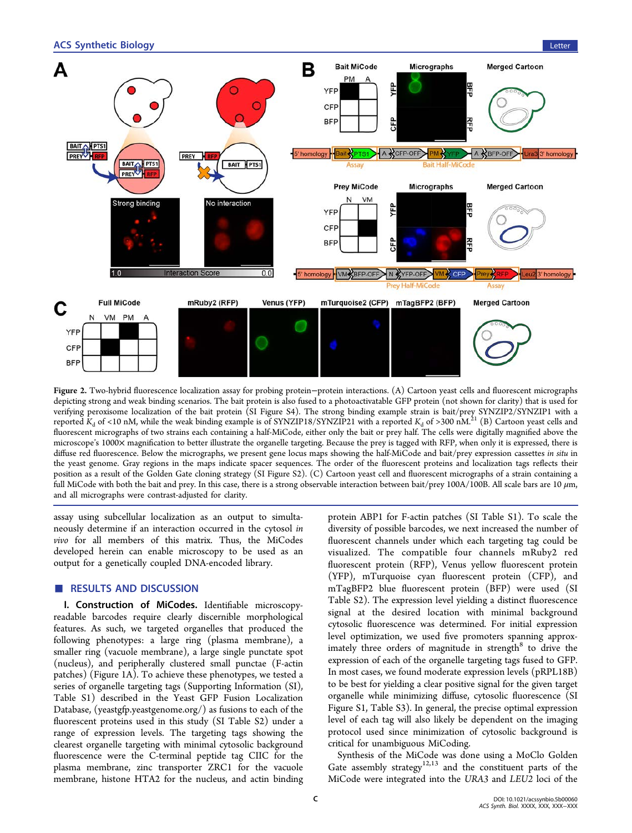<span id="page-2-0"></span>

Figure 2. Two-hybrid fluorescence localization assay for probing protein−protein interactions. (A) Cartoon yeast cells and fluorescent micrographs depicting strong and weak binding scenarios. The bait protein is also fused to a photoactivatable GFP protein (not shown for clarity) that is used for verifying peroxisome localization of the bait protein ([SI Figure S4\)](#page-10-0). The strong binding example strain is bait/prey SYNZIP2/SYNZIP1 with a<br>reported K<sub>d</sub> of <10 nM, while the weak binding example is of SYNZIP18/SYNZIP[21](#page-10-0) w fluorescent micrographs of two strains each containing a half-MiCode, either only the bait or prey half. The cells were digitally magnified above the microscope's 1000× magnification to better illustrate the organelle targeting. Because the prey is tagged with RFP, when only it is expressed, there is diffuse red fluorescence. Below the micrographs, we present gene locus maps showing the half-MiCode and bait/prey expression cassettes in situ in the yeast genome. Gray regions in the maps indicate spacer sequences. The order of the fluorescent proteins and localization tags reflects their position as a result of the Golden Gate cloning strategy [\(SI Figure S2\)](#page-10-0). (C) Cartoon yeast cell and fluorescent micrographs of a strain containing a full MiCode with both the bait and prey. In this case, there is a strong observable interaction between bait/prey 100A/100B. All scale bars are 10  $\mu$ m, and all micrographs were contrast-adjusted for clarity.

assay using subcellular localization as an output to simultaneously determine if an interaction occurred in the cytosol in vivo for all members of this matrix. Thus, the MiCodes developed herein can enable microscopy to be used as an output for a genetically coupled DNA-encoded library.

# ■ RESULTS AND DISCUSSION

I. Construction of MiCodes. Identifiable microscopyreadable barcodes require clearly discernible morphological features. As such, we targeted organelles that produced the following phenotypes: a large ring (plasma membrane), a smaller ring (vacuole membrane), a large single punctate spot (nucleus), and peripherally clustered small punctae (F-actin patches) [\(Figure 1](#page-1-0)A). To achieve these phenotypes, we tested a series of organelle targeting tags [\(Supporting Information \(SI\),](#page-10-0) [Table S1\)](#page-10-0) described in the Yeast GFP Fusion Localization Database, (yeastgfp.yeastgenome.org/) as fusions to each of the fluorescent proteins used in this study ([SI Table S2](#page-10-0)) under a range of expression levels. The targeting tags showing the clearest organelle targeting with minimal cytosolic background fluorescence were the C-terminal peptide tag CIIC for the plasma membrane, zinc transporter ZRC1 for the vacuole membrane, histone HTA2 for the nucleus, and actin binding protein ABP1 for F-actin patches ([SI Table S1\)](#page-10-0). To scale the diversity of possible barcodes, we next increased the number of fluorescent channels under which each targeting tag could be visualized. The compatible four channels mRuby2 red fluorescent protein (RFP), Venus yellow fluorescent protein (YFP), mTurquoise cyan fluorescent protein (CFP), and mTagBFP2 blue fluorescent protein (BFP) were used ([SI](#page-10-0) [Table S2](#page-10-0)). The expression level yielding a distinct fluorescence signal at the desired location with minimal background cytosolic fluorescence was determined. For initial expression level optimization, we used five promoters spanning approximately three orders of magnitude in strength $8$  to drive the expression of each of the organelle targeting tags fused to GFP. In most cases, we found moderate expression levels (pRPL18B) to be best for yielding a clear positive signal for the given target organelle while minimizing diffuse, cytosolic fluorescence ([SI](#page-10-0) [Figure S1, Table S3](#page-10-0)). In general, the precise optimal expression level of each tag will also likely be dependent on the imaging protocol used since minimization of cytosolic background is critical for unambiguous MiCoding.

Synthesis of the MiCode was done using a MoClo Golden Gate assembly strategy<sup>[12,13](#page-10-0)</sup> and the constituent parts of the MiCode were integrated into the URA3 and LEU2 loci of the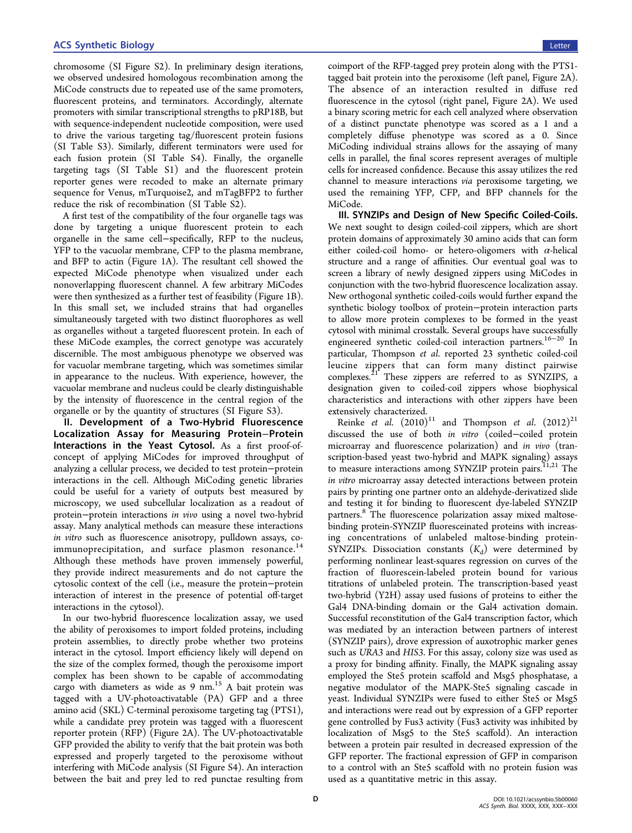chromosome ([SI Figure S2\)](#page-10-0). In preliminary design iterations, we observed undesired homologous recombination among the MiCode constructs due to repeated use of the same promoters, fluorescent proteins, and terminators. Accordingly, alternate promoters with similar transcriptional strengths to pRP18B, but with sequence-independent nucleotide composition, were used to drive the various targeting tag/fluorescent protein fusions [\(SI Table S3](#page-10-0)). Similarly, different terminators were used for each fusion protein ([SI Table S4](#page-10-0)). Finally, the organelle targeting tags [\(SI Table S1\)](#page-10-0) and the fluorescent protein reporter genes were recoded to make an alternate primary sequence for Venus, mTurquoise2, and mTagBFP2 to further reduce the risk of recombination [\(SI Table S2\)](#page-10-0).

A first test of the compatibility of the four organelle tags was done by targeting a unique fluorescent protein to each organelle in the same cell−specifically, RFP to the nucleus, YFP to the vacuolar membrane, CFP to the plasma membrane, and BFP to actin ([Figure 1](#page-1-0)A). The resultant cell showed the expected MiCode phenotype when visualized under each nonoverlapping fluorescent channel. A few arbitrary MiCodes were then synthesized as a further test of feasibility ([Figure 1B](#page-1-0)). In this small set, we included strains that had organelles simultaneously targeted with two distinct fluorophores as well as organelles without a targeted fluorescent protein. In each of these MiCode examples, the correct genotype was accurately discernible. The most ambiguous phenotype we observed was for vacuolar membrane targeting, which was sometimes similar in appearance to the nucleus. With experience, however, the vacuolar membrane and nucleus could be clearly distinguishable by the intensity of fluorescence in the central region of the organelle or by the quantity of structures ([SI Figure S3\)](#page-10-0).

II. Development of a Two-Hybrid Fluorescence Localization Assay for Measuring Protein−Protein Interactions in the Yeast Cytosol. As a first proof-ofconcept of applying MiCodes for improved throughput of analyzing a cellular process, we decided to test protein−protein interactions in the cell. Although MiCoding genetic libraries could be useful for a variety of outputs best measured by microscopy, we used subcellular localization as a readout of protein−protein interactions in vivo using a novel two-hybrid assay. Many analytical methods can measure these interactions in vitro such as fluorescence anisotropy, pulldown assays, co-immunoprecipitation, and surface plasmon resonance.<sup>[14](#page-10-0)</sup> Although these methods have proven immensely powerful, they provide indirect measurements and do not capture the cytosolic context of the cell (i.e., measure the protein−protein interaction of interest in the presence of potential off-target interactions in the cytosol).

In our two-hybrid fluorescence localization assay, we used the ability of peroxisomes to import folded proteins, including protein assemblies, to directly probe whether two proteins interact in the cytosol. Import efficiency likely will depend on the size of the complex formed, though the peroxisome import complex has been shown to be capable of accommodating cargo with diameters as wide as 9 nm. $^{15}$  $^{15}$  $^{15}$  A bait protein was tagged with a UV-photoactivatable (PA) GFP and a three amino acid (SKL) C-terminal peroxisome targeting tag (PTS1), while a candidate prey protein was tagged with a fluorescent reporter protein (RFP) ([Figure 2A](#page-2-0)). The UV-photoactivatable GFP provided the ability to verify that the bait protein was both expressed and properly targeted to the peroxisome without interfering with MiCode analysis ([SI Figure S4\)](#page-10-0). An interaction between the bait and prey led to red punctae resulting from

coimport of the RFP-tagged prey protein along with the PTS1 tagged bait protein into the peroxisome (left panel, [Figure 2A](#page-2-0)). The absence of an interaction resulted in diffuse red fluorescence in the cytosol (right panel, [Figure 2](#page-2-0)A). We used a binary scoring metric for each cell analyzed where observation of a distinct punctate phenotype was scored as a 1 and a completely diffuse phenotype was scored as a 0. Since MiCoding individual strains allows for the assaying of many cells in parallel, the final scores represent averages of multiple cells for increased confidence. Because this assay utilizes the red channel to measure interactions via peroxisome targeting, we used the remaining YFP, CFP, and BFP channels for the MiCode.

III. SYNZIPs and Design of New Specific Coiled-Coils. We next sought to design coiled-coil zippers, which are short protein domains of approximately 30 amino acids that can form either coiled-coil homo- or hetero-oligomers with  $\alpha$ -helical structure and a range of affinities. Our eventual goal was to screen a library of newly designed zippers using MiCodes in conjunction with the two-hybrid fluorescence localization assay. New orthogonal synthetic coiled-coils would further expand the synthetic biology toolbox of protein−protein interaction parts to allow more protein complexes to be formed in the yeast cytosol with minimal crosstalk. Several groups have successfully engineered synthetic coiled-coil interaction partners.<sup>[16](#page-10-0)−[20](#page-10-0)</sup> In particular, Thompson et al. reported 23 synthetic coiled-coil leucine zippers that can form many distinct pairwise complexes.<sup>[21](#page-10-0)</sup> These zippers are referred to as SYNZIPS, a designation given to coiled-coil zippers whose biophysical characteristics and interactions with other zippers have been extensively characterized.

Reinke et al.  $(2010)^{11}$  $(2010)^{11}$  $(2010)^{11}$  and Thompson et al.  $(2012)^{21}$  $(2012)^{21}$  $(2012)^{21}$ discussed the use of both in vitro (coiled−coiled protein microarray and fluorescence polarization) and in vivo (transcription-based yeast two-hybrid and MAPK signaling) assays to measure interactions among SYNZIP protein pairs.<sup>[11,21](#page-10-0)</sup> The in vitro microarray assay detected interactions between protein pairs by printing one partner onto an aldehyde-derivatized slide and testing it for binding to fluorescent dye-labeled SYNZIP partners.<sup>[8](#page-10-0)</sup> The fluorescence polarization assay mixed maltosebinding protein-SYNZIP fluoresceinated proteins with increasing concentrations of unlabeled maltose-binding protein-SYNZIPs. Dissociation constants  $(K_d)$  were determined by performing nonlinear least-squares regression on curves of the fraction of fluorescein-labeled protein bound for various titrations of unlabeled protein. The transcription-based yeast two-hybrid (Y2H) assay used fusions of proteins to either the Gal4 DNA-binding domain or the Gal4 activation domain. Successful reconstitution of the Gal4 transcription factor, which was mediated by an interaction between partners of interest (SYNZIP pairs), drove expression of auxotrophic marker genes such as URA3 and HIS3. For this assay, colony size was used as a proxy for binding affinity. Finally, the MAPK signaling assay employed the Ste5 protein scaffold and Msg5 phosphatase, a negative modulator of the MAPK-Ste5 signaling cascade in yeast. Individual SYNZIPs were fused to either Ste5 or Msg5 and interactions were read out by expression of a GFP reporter gene controlled by Fus3 activity (Fus3 activity was inhibited by localization of Msg5 to the Ste5 scaffold). An interaction between a protein pair resulted in decreased expression of the GFP reporter. The fractional expression of GFP in comparison to a control with an Ste5 scaffold with no protein fusion was used as a quantitative metric in this assay.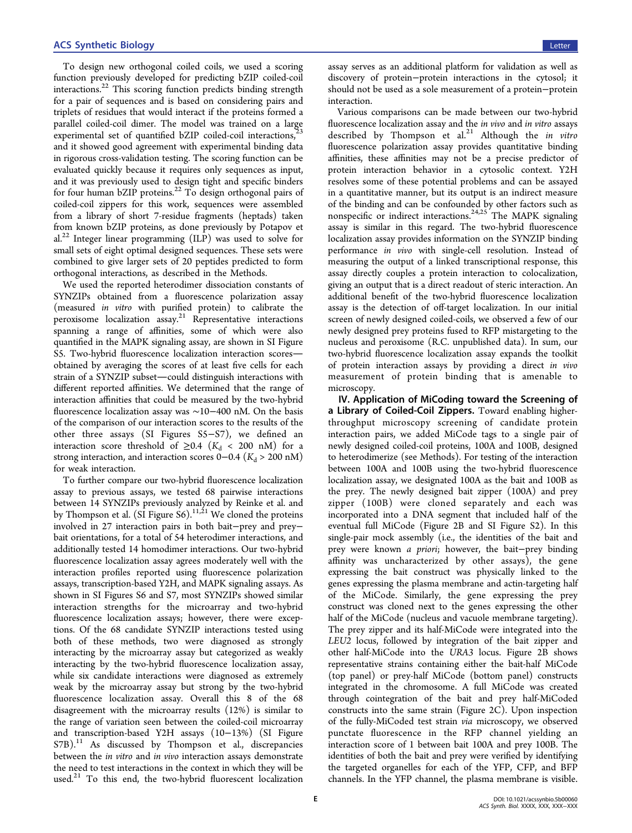To design new orthogonal coiled coils, we used a scoring function previously developed for predicting bZIP coiled-coil interactions.[22](#page-10-0) This scoring function predicts binding strength for a pair of sequences and is based on considering pairs and triplets of residues that would interact if the proteins formed a parallel coiled-coil dimer. The model was trained on a large experimental set of quantified bZIP coiled-coil interactions,<sup>2</sup> and it showed good agreement with experimental binding data in rigorous cross-validation testing. The scoring function can be evaluated quickly because it requires only sequences as input, and it was previously used to design tight and specific binders for four human bZIP proteins.<sup>[22](#page-10-0)</sup> To design orthogonal pairs of coiled-coil zippers for this work, sequences were assembled from a library of short 7-residue fragments (heptads) taken from known bZIP proteins, as done previously by Potapov et al.<sup>[22](#page-10-0)</sup> Integer linear programming (ILP) was used to solve for small sets of eight optimal designed sequences. These sets were combined to give larger sets of 20 peptides predicted to form orthogonal interactions, as described in the [Methods.](#page-9-0)

We used the reported heterodimer dissociation constants of SYNZIPs obtained from a fluorescence polarization assay (measured in vitro with purified protein) to calibrate the peroxisome localization  $assay$ <sup>[21](#page-10-0)</sup> Representative interactions spanning a range of affinities, some of which were also quantified in the MAPK signaling assay, are shown in [SI Figure](#page-10-0) [S5](#page-10-0). Two-hybrid fluorescence localization interaction scores obtained by averaging the scores of at least five cells for each strain of a SYNZIP subset-could distinguish interactions with different reported affinities. We determined that the range of interaction affinities that could be measured by the two-hybrid fluorescence localization assay was ∼10−400 nM. On the basis of the comparison of our interaction scores to the results of the other three assays ([SI Figures S5](#page-10-0)−S7), we defined an interaction score threshold of  $\geq 0.4$  ( $K_d$  < 200 nM) for a strong interaction, and interaction scores 0–0.4 ( $K<sub>d</sub>$  > 200 nM) for weak interaction.

To further compare our two-hybrid fluorescence localization assay to previous assays, we tested 68 pairwise interactions between 14 SYNZIPs previously analyzed by Reinke et al. and by Thompson et al. [\(SI Figure S6\)](#page-10-0).<sup>[11,21](#page-10-0)</sup> We cloned the proteins involved in 27 interaction pairs in both bait−prey and prey− bait orientations, for a total of 54 heterodimer interactions, and additionally tested 14 homodimer interactions. Our two-hybrid fluorescence localization assay agrees moderately well with the interaction profiles reported using fluorescence polarization assays, transcription-based Y2H, and MAPK signaling assays. As shown in [SI Figures S6 and S7,](#page-10-0) most SYNZIPs showed similar interaction strengths for the microarray and two-hybrid fluorescence localization assays; however, there were exceptions. Of the 68 candidate SYNZIP interactions tested using both of these methods, two were diagnosed as strongly interacting by the microarray assay but categorized as weakly interacting by the two-hybrid fluorescence localization assay, while six candidate interactions were diagnosed as extremely weak by the microarray assay but strong by the two-hybrid fluorescence localization assay. Overall this 8 of the 68 disagreement with the microarray results (12%) is similar to the range of variation seen between the coiled-coil microarray and transcription-based Y2H assays (10−13%) [\(SI Figure](#page-10-0) [S7B\)](#page-10-0).<sup>[11](#page-10-0)</sup> As discussed by Thompson et al., discrepancies between the in vitro and in vivo interaction assays demonstrate the need to test interactions in the context in which they will be used.<sup>[21](#page-10-0)</sup> To this end, the two-hybrid fluorescent localization

assay serves as an additional platform for validation as well as discovery of protein−protein interactions in the cytosol; it should not be used as a sole measurement of a protein−protein interaction.

Various comparisons can be made between our two-hybrid fluorescence localization assay and the *in vivo* and *in vitro* assays described by Thompson et al.<sup>[21](#page-10-0)</sup> Although the *in vitro* fluorescence polarization assay provides quantitative binding affinities, these affinities may not be a precise predictor of protein interaction behavior in a cytosolic context. Y2H resolves some of these potential problems and can be assayed in a quantitative manner, but its output is an indirect measure of the binding and can be confounded by other factors such as nonspecific or indirect interactions.<sup>[24](#page-11-0),[25](#page-11-0)</sup> The MAPK signaling assay is similar in this regard. The two-hybrid fluorescence localization assay provides information on the SYNZIP binding performance in vivo with single-cell resolution. Instead of measuring the output of a linked transcriptional response, this assay directly couples a protein interaction to colocalization, giving an output that is a direct readout of steric interaction. An additional benefit of the two-hybrid fluorescence localization assay is the detection of off-target localization. In our initial screen of newly designed coiled-coils, we observed a few of our newly designed prey proteins fused to RFP mistargeting to the nucleus and peroxisome (R.C. unpublished data). In sum, our two-hybrid fluorescence localization assay expands the toolkit of protein interaction assays by providing a direct in vivo measurement of protein binding that is amenable to microscopy.

IV. Application of MiCoding toward the Screening of a Library of Coiled-Coil Zippers. Toward enabling higherthroughput microscopy screening of candidate protein interaction pairs, we added MiCode tags to a single pair of newly designed coiled-coil proteins, 100A and 100B, designed to heterodimerize (see [Methods](#page-9-0)). For testing of the interaction between 100A and 100B using the two-hybrid fluorescence localization assay, we designated 100A as the bait and 100B as the prey. The newly designed bait zipper (100A) and prey zipper (100B) were cloned separately and each was incorporated into a DNA segment that included half of the eventual full MiCode [\(Figure 2B](#page-2-0) and [SI Figure S2](#page-10-0)). In this single-pair mock assembly (i.e., the identities of the bait and prey were known a priori; however, the bait−prey binding affinity was uncharacterized by other assays), the gene expressing the bait construct was physically linked to the genes expressing the plasma membrane and actin-targeting half of the MiCode. Similarly, the gene expressing the prey construct was cloned next to the genes expressing the other half of the MiCode (nucleus and vacuole membrane targeting). The prey zipper and its half-MiCode were integrated into the LEU2 locus, followed by integration of the bait zipper and other half-MiCode into the URA3 locus. [Figure 2](#page-2-0)B shows representative strains containing either the bait-half MiCode (top panel) or prey-half MiCode (bottom panel) constructs integrated in the chromosome. A full MiCode was created through cointegration of the bait and prey half-MiCoded constructs into the same strain ([Figure 2](#page-2-0)C). Upon inspection of the fully-MiCoded test strain via microscopy, we observed punctate fluorescence in the RFP channel yielding an interaction score of 1 between bait 100A and prey 100B. The identities of both the bait and prey were verified by identifying the targeted organelles for each of the YFP, CFP, and BFP channels. In the YFP channel, the plasma membrane is visible.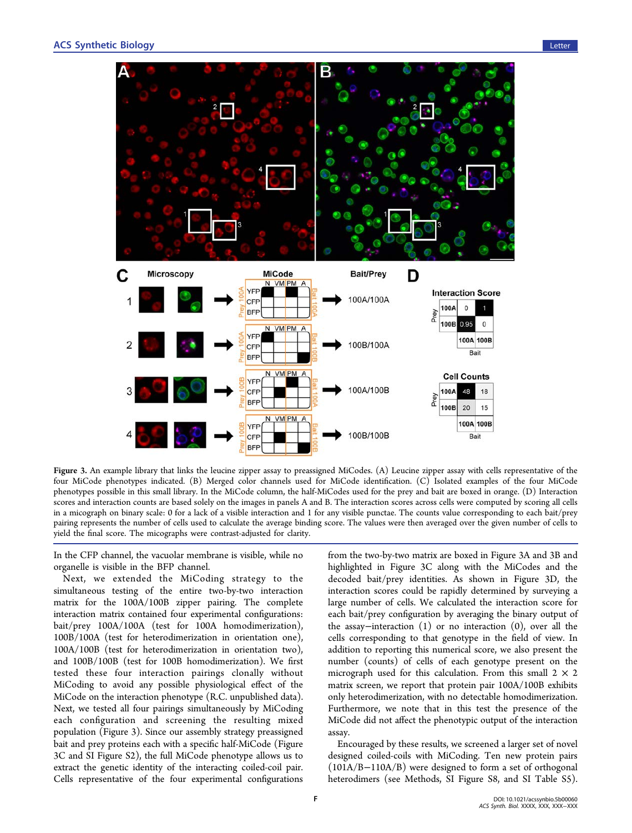<span id="page-5-0"></span>

Figure 3. An example library that links the leucine zipper assay to preassigned MiCodes. (A) Leucine zipper assay with cells representative of the four MiCode phenotypes indicated. (B) Merged color channels used for MiCode identification. (C) Isolated examples of the four MiCode phenotypes possible in this small library. In the MiCode column, the half-MiCodes used for the prey and bait are boxed in orange. (D) Interaction scores and interaction counts are based solely on the images in panels A and B. The interaction scores across cells were computed by scoring all cells in a micograph on binary scale: 0 for a lack of a visible interaction and 1 for any visible punctae. The counts value corresponding to each bait/prey pairing represents the number of cells used to calculate the average binding score. The values were then averaged over the given number of cells to yield the final score. The micographs were contrast-adjusted for clarity.

In the CFP channel, the vacuolar membrane is visible, while no organelle is visible in the BFP channel.

Next, we extended the MiCoding strategy to the simultaneous testing of the entire two-by-two interaction matrix for the 100A/100B zipper pairing. The complete interaction matrix contained four experimental configurations: bait/prey 100A/100A (test for 100A homodimerization), 100B/100A (test for heterodimerization in orientation one), 100A/100B (test for heterodimerization in orientation two), and 100B/100B (test for 100B homodimerization). We first tested these four interaction pairings clonally without MiCoding to avoid any possible physiological effect of the MiCode on the interaction phenotype (R.C. unpublished data). Next, we tested all four pairings simultaneously by MiCoding each configuration and screening the resulting mixed population (Figure 3). Since our assembly strategy preassigned bait and prey proteins each with a specific half-MiCode (Figure 3C and [SI Figure S2](#page-10-0)), the full MiCode phenotype allows us to extract the genetic identity of the interacting coiled-coil pair. Cells representative of the four experimental configurations

from the two-by-two matrix are boxed in Figure 3A and 3B and highlighted in Figure 3C along with the MiCodes and the decoded bait/prey identities. As shown in Figure 3D, the interaction scores could be rapidly determined by surveying a large number of cells. We calculated the interaction score for each bait/prey configuration by averaging the binary output of the assay−interaction (1) or no interaction (0), over all the cells corresponding to that genotype in the field of view. In addition to reporting this numerical score, we also present the number (counts) of cells of each genotype present on the micrograph used for this calculation. From this small  $2 \times 2$ matrix screen, we report that protein pair 100A/100B exhibits only heterodimerization, with no detectable homodimerization. Furthermore, we note that in this test the presence of the MiCode did not affect the phenotypic output of the interaction assay.

Encouraged by these results, we screened a larger set of novel designed coiled-coils with MiCoding. Ten new protein pairs (101A/B−110A/B) were designed to form a set of orthogonal heterodimers (see [Methods,](#page-9-0) [SI Figure S8, and SI Table S5\)](#page-10-0).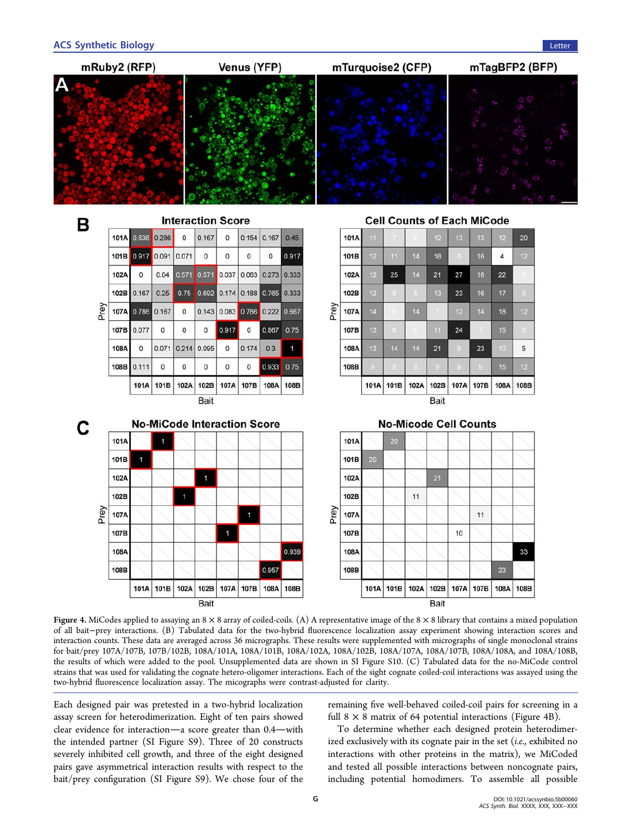<span id="page-6-0"></span>

Figure 4. MiCodes applied to assaying an  $8 \times 8$  array of coiled-coils. (A) A representative image of the  $8 \times 8$  library that contains a mixed population of all bait−prey interactions. (B) Tabulated data for the two-hybrid fluorescence localization assay experiment showing interaction scores and interaction counts. These data are averaged across 36 micrographs. These results were supplemented with micrographs of single monoclonal strains for bait/prey 107A/107B, 107B/102B, 108A/101A, 108A/101B, 108A/102A, 108A/102B, 108A/107A, 108A/107B, 108A/108A, and 108A/108B, the results of which were added to the pool. Unsupplemented data are shown in [SI Figure S10.](#page-10-0) (C) Tabulated data for the no-MiCode control strains that was used for validating the cognate hetero-oligomer interactions. Each of the sight cognate coiled-coil interactions was assayed using the two-hybrid fluorescence localization assay. The micographs were contrast-adjusted for clarity.

Each designed pair was pretested in a two-hybrid localization assay screen for heterodimerization. Eight of ten pairs showed clear evidence for interaction-a score greater than 0.4-with the intended partner ([SI Figure S9\)](#page-10-0). Three of 20 constructs severely inhibited cell growth, and three of the eight designed pairs gave asymmetrical interaction results with respect to the bait/prey configuration [\(SI Figure S9](#page-10-0)). We chose four of the

remaining five well-behaved coiled-coil pairs for screening in a full  $8 \times 8$  matrix of 64 potential interactions (Figure 4B).

To determine whether each designed protein heterodimerized exclusively with its cognate pair in the set *(i.e., exhibited no* interactions with other proteins in the matrix), we MiCoded and tested all possible interactions between noncognate pairs, including potential homodimers. To assemble all possible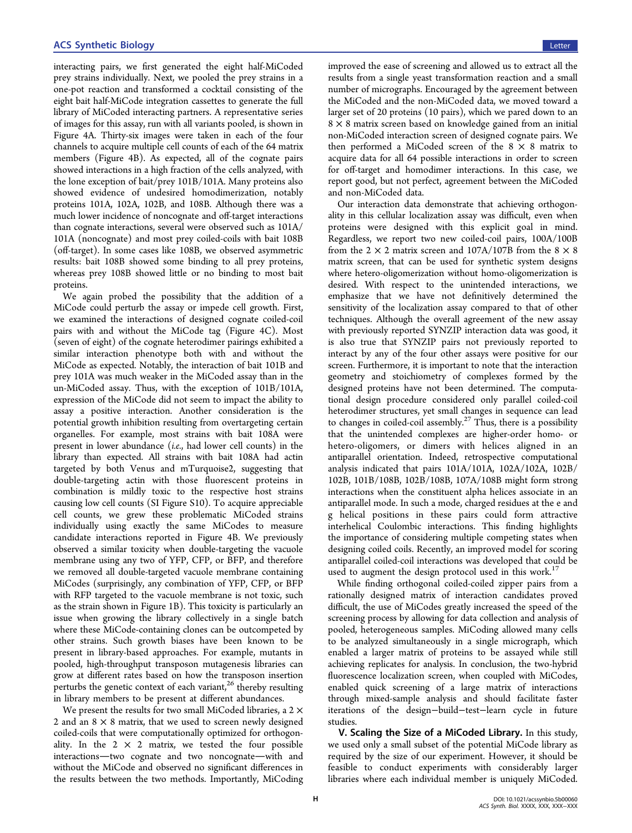interacting pairs, we first generated the eight half-MiCoded prey strains individually. Next, we pooled the prey strains in a one-pot reaction and transformed a cocktail consisting of the eight bait half-MiCode integration cassettes to generate the full library of MiCoded interacting partners. A representative series of images for this assay, run with all variants pooled, is shown in [Figure 4A](#page-6-0). Thirty-six images were taken in each of the four channels to acquire multiple cell counts of each of the 64 matrix members ([Figure 4](#page-6-0)B). As expected, all of the cognate pairs showed interactions in a high fraction of the cells analyzed, with the lone exception of bait/prey 101B/101A. Many proteins also showed evidence of undesired homodimerization, notably proteins 101A, 102A, 102B, and 108B. Although there was a much lower incidence of noncognate and off-target interactions than cognate interactions, several were observed such as 101A/ 101A (noncognate) and most prey coiled-coils with bait 108B (off-target). In some cases like 108B, we observed asymmetric results: bait 108B showed some binding to all prey proteins, whereas prey 108B showed little or no binding to most bait proteins.

We again probed the possibility that the addition of a MiCode could perturb the assay or impede cell growth. First, we examined the interactions of designed cognate coiled-coil pairs with and without the MiCode tag ([Figure 4](#page-6-0)C). Most (seven of eight) of the cognate heterodimer pairings exhibited a similar interaction phenotype both with and without the MiCode as expected. Notably, the interaction of bait 101B and prey 101A was much weaker in the MiCoded assay than in the un-MiCoded assay. Thus, with the exception of 101B/101A, expression of the MiCode did not seem to impact the ability to assay a positive interaction. Another consideration is the potential growth inhibition resulting from overtargeting certain organelles. For example, most strains with bait 108A were present in lower abundance  $(i.e.,$  had lower cell counts) in the library than expected. All strains with bait 108A had actin targeted by both Venus and mTurquoise2, suggesting that double-targeting actin with those fluorescent proteins in combination is mildly toxic to the respective host strains causing low cell counts [\(SI Figure S10\)](#page-10-0). To acquire appreciable cell counts, we grew these problematic MiCoded strains individually using exactly the same MiCodes to measure candidate interactions reported in [Figure 4](#page-6-0)B. We previously observed a similar toxicity when double-targeting the vacuole membrane using any two of YFP, CFP, or BFP, and therefore we removed all double-targeted vacuole membrane containing MiCodes (surprisingly, any combination of YFP, CFP, or BFP with RFP targeted to the vacuole membrane is not toxic, such as the strain shown in [Figure 1B](#page-1-0)). This toxicity is particularly an issue when growing the library collectively in a single batch where these MiCode-containing clones can be outcompeted by other strains. Such growth biases have been known to be present in library-based approaches. For example, mutants in pooled, high-throughput transposon mutagenesis libraries can grow at different rates based on how the transposon insertion perturbs the genetic context of each variant,<sup>[26](#page-11-0)</sup> thereby resulting in library members to be present at different abundances.

We present the results for two small MiCoded libraries, a  $2 \times$ 2 and an  $8 \times 8$  matrix, that we used to screen newly designed coiled-coils that were computationally optimized for orthogonality. In the  $2 \times 2$  matrix, we tested the four possible interactions- two cognate and two noncognate-with and without the MiCode and observed no significant differences in the results between the two methods. Importantly, MiCoding improved the ease of screening and allowed us to extract all the results from a single yeast transformation reaction and a small number of micrographs. Encouraged by the agreement between the MiCoded and the non-MiCoded data, we moved toward a larger set of 20 proteins (10 pairs), which we pared down to an  $8 \times 8$  matrix screen based on knowledge gained from an initial non-MiCoded interaction screen of designed cognate pairs. We then performed a MiCoded screen of the  $8 \times 8$  matrix to acquire data for all 64 possible interactions in order to screen for off-target and homodimer interactions. In this case, we report good, but not perfect, agreement between the MiCoded and non-MiCoded data.

Our interaction data demonstrate that achieving orthogonality in this cellular localization assay was difficult, even when proteins were designed with this explicit goal in mind. Regardless, we report two new coiled-coil pairs, 100A/100B from the 2  $\times$  2 matrix screen and 107A/107B from the 8  $\times$  8 matrix screen, that can be used for synthetic system designs where hetero-oligomerization without homo-oligomerization is desired. With respect to the unintended interactions, we emphasize that we have not definitively determined the sensitivity of the localization assay compared to that of other techniques. Although the overall agreement of the new assay with previously reported SYNZIP interaction data was good, it is also true that SYNZIP pairs not previously reported to interact by any of the four other assays were positive for our screen. Furthermore, it is important to note that the interaction geometry and stoichiometry of complexes formed by the designed proteins have not been determined. The computational design procedure considered only parallel coiled-coil heterodimer structures, yet small changes in sequence can lead to changes in coiled-coil assembly.<sup>[27](#page-11-0)</sup> Thus, there is a possibility that the unintended complexes are higher-order homo- or hetero-oligomers, or dimers with helices aligned in an antiparallel orientation. Indeed, retrospective computational analysis indicated that pairs 101A/101A, 102A/102A, 102B/ 102B, 101B/108B, 102B/108B, 107A/108B might form strong interactions when the constituent alpha helices associate in an antiparallel mode. In such a mode, charged residues at the e and g helical positions in these pairs could form attractive interhelical Coulombic interactions. This finding highlights the importance of considering multiple competing states when designing coiled coils. Recently, an improved model for scoring antiparallel coiled-coil interactions was developed that could be used to augment the design protocol used in this work.<sup>[17](#page-10-0)</sup>

While finding orthogonal coiled-coiled zipper pairs from a rationally designed matrix of interaction candidates proved difficult, the use of MiCodes greatly increased the speed of the screening process by allowing for data collection and analysis of pooled, heterogeneous samples. MiCoding allowed many cells to be analyzed simultaneously in a single micrograph, which enabled a larger matrix of proteins to be assayed while still achieving replicates for analysis. In conclusion, the two-hybrid fluorescence localization screen, when coupled with MiCodes, enabled quick screening of a large matrix of interactions through mixed-sample analysis and should facilitate faster iterations of the design−build−test−learn cycle in future studies.

V. Scaling the Size of a MiCoded Library. In this study, we used only a small subset of the potential MiCode library as required by the size of our experiment. However, it should be feasible to conduct experiments with considerably larger libraries where each individual member is uniquely MiCoded.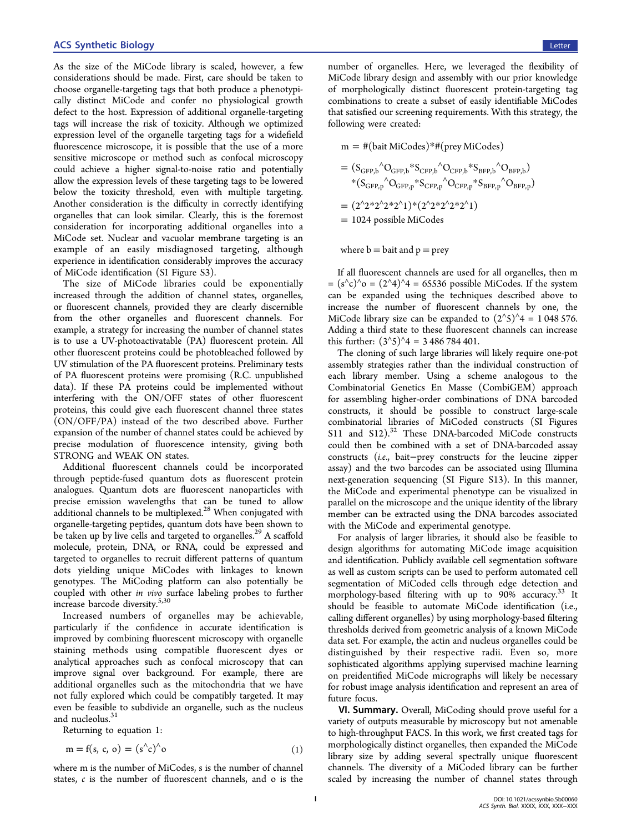As the size of the MiCode library is scaled, however, a few considerations should be made. First, care should be taken to choose organelle-targeting tags that both produce a phenotypically distinct MiCode and confer no physiological growth defect to the host. Expression of additional organelle-targeting tags will increase the risk of toxicity. Although we optimized expression level of the organelle targeting tags for a widefield fluorescence microscope, it is possible that the use of a more sensitive microscope or method such as confocal microscopy could achieve a higher signal-to-noise ratio and potentially allow the expression levels of these targeting tags to be lowered below the toxicity threshold, even with multiple targeting. Another consideration is the difficulty in correctly identifying organelles that can look similar. Clearly, this is the foremost consideration for incorporating additional organelles into a MiCode set. Nuclear and vacuolar membrane targeting is an example of an easily misdiagnosed targeting, although experience in identification considerably improves the accuracy of MiCode identification ([SI Figure S3\)](#page-10-0).

The size of MiCode libraries could be exponentially increased through the addition of channel states, organelles, or fluorescent channels, provided they are clearly discernible from the other organelles and fluorescent channels. For example, a strategy for increasing the number of channel states is to use a UV-photoactivatable (PA) fluorescent protein. All other fluorescent proteins could be photobleached followed by UV stimulation of the PA fluorescent proteins. Preliminary tests of PA fluorescent proteins were promising (R.C. unpublished data). If these PA proteins could be implemented without interfering with the ON/OFF states of other fluorescent proteins, this could give each fluorescent channel three states (ON/OFF/PA) instead of the two described above. Further expansion of the number of channel states could be achieved by precise modulation of fluorescence intensity, giving both STRONG and WEAK ON states.

Additional fluorescent channels could be incorporated through peptide-fused quantum dots as fluorescent protein analogues. Quantum dots are fluorescent nanoparticles with precise emission wavelengths that can be tuned to allow additional channels to be multiplexed.<sup>[28](#page-11-0)</sup> When conjugated with organelle-targeting peptides, quantum dots have been shown to be taken up by live cells and targeted to organelles.<sup>[29](#page-11-0)</sup> A scaffold molecule, protein, DNA, or RNA, could be expressed and targeted to organelles to recruit different patterns of quantum dots yielding unique MiCodes with linkages to known genotypes. The MiCoding platform can also potentially be coupled with other in vivo surface labeling probes to further increase barcode diversity.<sup>[5](#page-10-0),[30](#page-11-0)</sup>

Increased numbers of organelles may be achievable, particularly if the confidence in accurate identification is improved by combining fluorescent microscopy with organelle staining methods using compatible fluorescent dyes or analytical approaches such as confocal microscopy that can improve signal over background. For example, there are additional organelles such as the mitochondria that we have not fully explored which could be compatibly targeted. It may even be feasible to subdivide an organelle, such as the nucleus and nucleolus.<sup>[31](#page-11-0)</sup>

Returning to equation [1:](#page-1-0)

$$
m = f(s, c, o) = (s^c)^ o
$$
 (1)

where m is the number of MiCodes, s is the number of channel states,  $c$  is the number of fluorescent channels, and  $o$  is the

number of organelles. Here, we leveraged the flexibility of MiCode library design and assembly with our prior knowledge of morphologically distinct fluorescent protein-targeting tag combinations to create a subset of easily identifiable MiCodes that satisfied our screening requirements. With this strategy, the following were created:

$$
m = #(\text{bait MiCodes}) * #(\text{prey MiCodes})
$$
  
=  $(S_{\text{GFP},b} \triangle O_{\text{GFP},b} * S_{\text{CFP},b} \triangle O_{\text{CFP},b} \triangle O_{\text{BFP},b})$   
 $*(S_{\text{GFP},p} \triangle O_{\text{GFP},p} * S_{\text{CFP},p} \triangle O_{\text{CFP},p} * S_{\text{BFP},p} \triangle O_{\text{BFP},p})$   
=  $(2^2 2^2 2^2 2^2 1) * (2^2 2^2 2^2 2^2 1)$   
= 1024 possible MiCodes

where  $b =$  bait and  $p =$  prey

If all fluorescent channels are used for all organelles, then m  $= (s^{\wedge}c)^{\wedge}o = (2^{\wedge}4)^{\wedge}4 = 65536$  possible MiCodes. If the system can be expanded using the techniques described above to increase the number of fluorescent channels by one, the MiCode library size can be expanded to  $(2^{\wedge}5)^{\wedge}4 = 1048576$ . Adding a third state to these fluorescent channels can increase this further:  $(3^5)^4 = 3486784401$ .

The cloning of such large libraries will likely require one-pot assembly strategies rather than the individual construction of each library member. Using a scheme analogous to the Combinatorial Genetics En Masse (CombiGEM) approach for assembling higher-order combinations of DNA barcoded constructs, it should be possible to construct large-scale combinatorial libraries of MiCoded constructs ([SI Figures](#page-10-0) [S11 and S12\)](#page-10-0).<sup>[32](#page-11-0)</sup> These DNA-barcoded MiCode constructs could then be combined with a set of DNA-barcoded assay constructs (i.e., bait−prey constructs for the leucine zipper assay) and the two barcodes can be associated using Illumina next-generation sequencing [\(SI Figure S13](#page-10-0)). In this manner, the MiCode and experimental phenotype can be visualized in parallel on the microscope and the unique identity of the library member can be extracted using the DNA barcodes associated with the MiCode and experimental genotype.

For analysis of larger libraries, it should also be feasible to design algorithms for automating MiCode image acquisition and identification. Publicly available cell segmentation software as well as custom scripts can be used to perform automated cell segmentation of MiCoded cells through edge detection and morphology-based filtering with up to 90% accuracy.<sup>[33](#page-11-0)</sup> It should be feasible to automate MiCode identification (i.e., calling different organelles) by using morphology-based filtering thresholds derived from geometric analysis of a known MiCode data set. For example, the actin and nucleus organelles could be distinguished by their respective radii. Even so, more sophisticated algorithms applying supervised machine learning on preidentified MiCode micrographs will likely be necessary for robust image analysis identification and represent an area of future focus.

VI. Summary. Overall, MiCoding should prove useful for a variety of outputs measurable by microscopy but not amenable to high-throughput FACS. In this work, we first created tags for morphologically distinct organelles, then expanded the MiCode library size by adding several spectrally unique fluorescent channels. The diversity of a MiCoded library can be further scaled by increasing the number of channel states through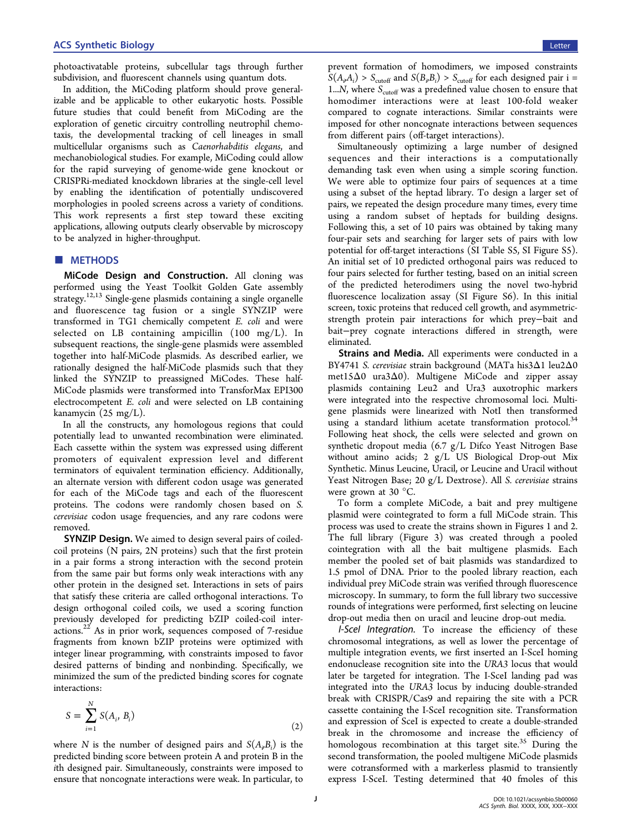<span id="page-9-0"></span>photoactivatable proteins, subcellular tags through further subdivision, and fluorescent channels using quantum dots.

In addition, the MiCoding platform should prove generalizable and be applicable to other eukaryotic hosts. Possible future studies that could benefit from MiCoding are the exploration of genetic circuitry controlling neutrophil chemotaxis, the developmental tracking of cell lineages in small multicellular organisms such as Caenorhabditis elegans, and mechanobiological studies. For example, MiCoding could allow for the rapid surveying of genome-wide gene knockout or CRISPRi-mediated knockdown libraries at the single-cell level by enabling the identification of potentially undiscovered morphologies in pooled screens across a variety of conditions. This work represents a first step toward these exciting applications, allowing outputs clearly observable by microscopy to be analyzed in higher-throughput.

## ■ METHODS

MiCode Design and Construction. All cloning was performed using the Yeast Toolkit Golden Gate assembly strategy.[12,13](#page-10-0) Single-gene plasmids containing a single organelle and fluorescence tag fusion or a single SYNZIP were transformed in TG1 chemically competent E. coli and were selected on LB containing ampicillin (100 mg/L). In subsequent reactions, the single-gene plasmids were assembled together into half-MiCode plasmids. As described earlier, we rationally designed the half-MiCode plasmids such that they linked the SYNZIP to preassigned MiCodes. These half-MiCode plasmids were transformed into TransforMax EPI300 electrocompetent E. coli and were selected on LB containing kanamycin (25 mg/L).

In all the constructs, any homologous regions that could potentially lead to unwanted recombination were eliminated. Each cassette within the system was expressed using different promoters of equivalent expression level and different terminators of equivalent termination efficiency. Additionally, an alternate version with different codon usage was generated for each of the MiCode tags and each of the fluorescent proteins. The codons were randomly chosen based on S. cerevisiae codon usage frequencies, and any rare codons were removed.

SYNZIP Design. We aimed to design several pairs of coiledcoil proteins (N pairs, 2N proteins) such that the first protein in a pair forms a strong interaction with the second protein from the same pair but forms only weak interactions with any other protein in the designed set. Interactions in sets of pairs that satisfy these criteria are called orthogonal interactions. To design orthogonal coiled coils, we used a scoring function previously developed for predicting bZIP coiled-coil interactions.[22](#page-10-0) As in prior work, sequences composed of 7-residue fragments from known bZIP proteins were optimized with integer linear programming, with constraints imposed to favor desired patterns of binding and nonbinding. Specifically, we minimized the sum of the predicted binding scores for cognate interactions:

$$
S = \sum_{i=1}^{N} S(A_i, B_i)
$$
 (2)

where N is the number of designed pairs and  $S(A_i, B_i)$  is the predicted binding score between protein A and protein B in the ith designed pair. Simultaneously, constraints were imposed to ensure that noncognate interactions were weak. In particular, to

prevent formation of homodimers, we imposed constraints  $S(A_i, A_i) > S_{\text{cutoff}}$  and  $S(B_i, B_i) > S_{\text{cutoff}}$  for each designed pair i = 1... $N$ , where  $S<sub>cutoff</sub>$  was a predefined value chosen to ensure that homodimer interactions were at least 100-fold weaker compared to cognate interactions. Similar constraints were imposed for other noncognate interactions between sequences from different pairs (off-target interactions).

Simultaneously optimizing a large number of designed sequences and their interactions is a computationally demanding task even when using a simple scoring function. We were able to optimize four pairs of sequences at a time using a subset of the heptad library. To design a larger set of pairs, we repeated the design procedure many times, every time using a random subset of heptads for building designs. Following this, a set of 10 pairs was obtained by taking many four-pair sets and searching for larger sets of pairs with low potential for off-target interactions [\(SI Table S5, SI Figure S5\)](#page-10-0). An initial set of 10 predicted orthogonal pairs was reduced to four pairs selected for further testing, based on an initial screen of the predicted heterodimers using the novel two-hybrid fluorescence localization assay ([SI Figure S6\)](#page-10-0). In this initial screen, toxic proteins that reduced cell growth, and asymmetricstrength protein pair interactions for which prey−bait and bait−prey cognate interactions differed in strength, were eliminated.

Strains and Media. All experiments were conducted in a BY4741 S. cerevisiae strain background (MATa his3Δ1 leu2Δ0 met15Δ0 ura3Δ0). Multigene MiCode and zipper assay plasmids containing Leu2 and Ura3 auxotrophic markers were integrated into the respective chromosomal loci. Multigene plasmids were linearized with NotI then transformed using a standard lithium acetate transformation protocol.<sup>[34](#page-11-0)</sup> Following heat shock, the cells were selected and grown on synthetic dropout media (6.7 g/L Difco Yeast Nitrogen Base without amino acids; 2 g/L US Biological Drop-out Mix Synthetic. Minus Leucine, Uracil, or Leucine and Uracil without Yeast Nitrogen Base; 20 g/L Dextrose). All S. cerevisiae strains were grown at 30 °C.

To form a complete MiCode, a bait and prey multigene plasmid were cointegrated to form a full MiCode strain. This process was used to create the strains shown in [Figures 1](#page-1-0) and [2.](#page-2-0) The full library ([Figure 3](#page-5-0)) was created through a pooled cointegration with all the bait multigene plasmids. Each member the pooled set of bait plasmids was standardized to 1.5 pmol of DNA. Prior to the pooled library reaction, each individual prey MiCode strain was verified through fluorescence microscopy. In summary, to form the full library two successive rounds of integrations were performed, first selecting on leucine drop-out media then on uracil and leucine drop-out media.

I-SceI Integration. To increase the efficiency of these chromosomal integrations, as well as lower the percentage of multiple integration events, we first inserted an I-SceI homing endonuclease recognition site into the URA3 locus that would later be targeted for integration. The I-SceI landing pad was integrated into the URA3 locus by inducing double-stranded break with CRISPR/Cas9 and repairing the site with a PCR cassette containing the I-SceI recognition site. Transformation and expression of SceI is expected to create a double-stranded break in the chromosome and increase the efficiency of homologous recombination at this target site.<sup>[35](#page-11-0)</sup> During the second transformation, the pooled multigene MiCode plasmids were cotransformed with a markerless plasmid to transiently express I-SceI. Testing determined that 40 fmoles of this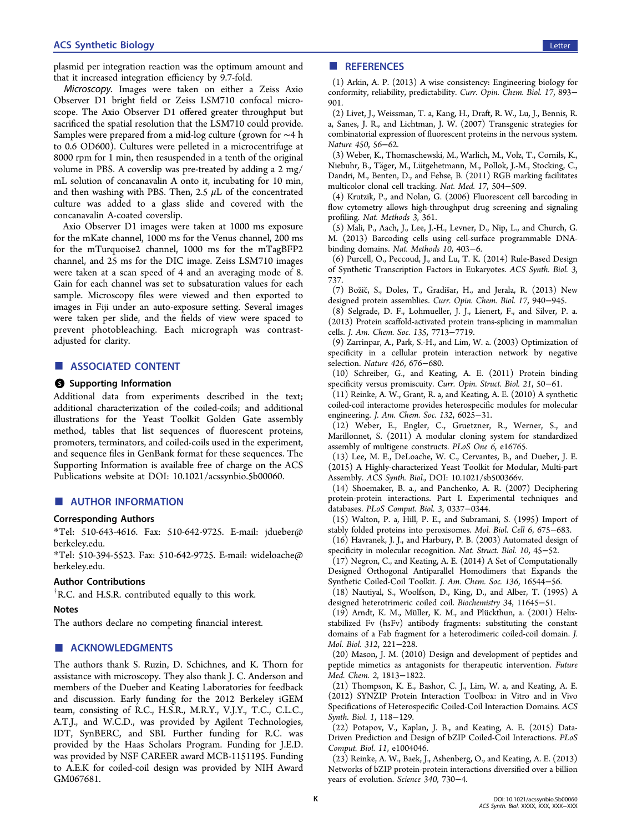<span id="page-10-0"></span>plasmid per integration reaction was the optimum amount and that it increased integration efficiency by 9.7-fold.

Microscopy. Images were taken on either a Zeiss Axio Observer D1 bright field or Zeiss LSM710 confocal microscope. The Axio Observer D1 offered greater throughput but sacrificed the spatial resolution that the LSM710 could provide. Samples were prepared from a mid-log culture (grown for ∼4 h to 0.6 OD600). Cultures were pelleted in a microcentrifuge at 8000 rpm for 1 min, then resuspended in a tenth of the original volume in PBS. A coverslip was pre-treated by adding a 2 mg/ mL solution of concanavalin A onto it, incubating for 10 min, and then washing with PBS. Then,  $2.5 \mu L$  of the concentrated culture was added to a glass slide and covered with the concanavalin A-coated coverslip.

Axio Observer D1 images were taken at 1000 ms exposure for the mKate channel, 1000 ms for the Venus channel, 200 ms for the mTurquoise2 channel, 1000 ms for the mTagBFP2 channel, and 25 ms for the DIC image. Zeiss LSM710 images were taken at a scan speed of 4 and an averaging mode of 8. Gain for each channel was set to subsaturation values for each sample. Microscopy files were viewed and then exported to images in Fiji under an auto-exposure setting. Several images were taken per slide, and the fields of view were spaced to prevent photobleaching. Each micrograph was contrastadjusted for clarity.

# ■ ASSOCIATED CONTENT

## **6** Supporting Information

Additional data from experiments described in the text; additional characterization of the coiled-coils; and additional illustrations for the Yeast Toolkit Golden Gate assembly method, tables that list sequences of fluorescent proteins, promoters, terminators, and coiled-coils used in the experiment, and sequence files in GenBank format for these sequences. The Supporting Information is available free of charge on the [ACS](http://pubs.acs.org) [Publications website](http://pubs.acs.org) at DOI: [10.1021/acssynbio.5b00060.](http://pubs.acs.org/doi/abs/10.1021/acssynbio.5b00060)

#### ■ AUTHOR INFORMATION

#### Corresponding Authors

\*Tel: 510-643-4616. Fax: 510-642-9725. E-mail: [jdueber@](mailto:jdueber@berkeley.edu) [berkeley.edu.](mailto:jdueber@berkeley.edu)

\*Tel: 510-394-5523. Fax: 510-642-9725. E-mail: [wideloache@](mailto:wideloache@berkeley.edu) [berkeley.edu.](mailto:wideloache@berkeley.edu)

#### Author Contributions

† R.C. and H.S.R. contributed equally to this work.

#### Notes

The authors declare no competing financial interest.

# ■ ACKNOWLEDGMENTS

The authors thank S. Ruzin, D. Schichnes, and K. Thorn for assistance with microscopy. They also thank J. C. Anderson and members of the Dueber and Keating Laboratories for feedback and discussion. Early funding for the 2012 Berkeley iGEM team, consisting of R.C., H.S.R., M.R.Y., V.J.Y., T.C., C.L.C., A.T.J., and W.C.D., was provided by Agilent Technologies, IDT, SynBERC, and SBI. Further funding for R.C. was provided by the Haas Scholars Program. Funding for J.E.D. was provided by NSF CAREER award MCB-1151195. Funding to A.E.K for coiled-coil design was provided by NIH Award GM067681.

#### ■ REFERENCES

(1) Arkin, A. P. (2013) A wise consistency: Engineering biology for conformity, reliability, predictability. Curr. Opin. Chem. Biol. 17, 893− 90[1.](http://dx.doi.org/10.1016/j.cbpa.2013.09.012)

(2) Livet, J., Weissman, T. a, Kang, H., Draft, R. W., Lu, J., Bennis, R. a, Sanes, J. R., and Lichtman, J. W. (2007) Transgenic strategies for combinatorial expression of fluorescent proteins in the nervous system. Nature 450, 56−62[.](http://dx.doi.org/10.1038/nature06293)

(3) Weber, K., Thomaschewski, M., Warlich, M., Volz, T., Cornils, K., Niebuhr, B., Täger, M., Lütgehetmann, M., Pollok, J.-M., Stocking, C., Dandri, M., Benten, D., and Fehse, B. (2011) RGB marking facilitates multicolor clonal cell tracking. Nat. Med. 17, 504−50[9.](http://dx.doi.org/10.1038/nm.2338)

(4) Krutzik, P., and Nolan, G. (2006) Fluorescent cell barcoding in flow cytometry allows high-throughput drug screening and signaling profiling. Nat. Methods 3, 361[.](http://dx.doi.org/10.1038/nmeth872)

(5) Mali, P., Aach, J., Lee, J.-H., Levner, D., Nip, L., and Church, G. M. (2013) Barcoding cells using cell-surface programmable DNAbinding domains. Nat. Methods 10, 403−6[.](http://dx.doi.org/10.1038/nmeth.2407)

(6) Purcell, O., Peccoud, J., and Lu, T. K. (2014) Rule-Based Design of Synthetic Transcription Factors in Eukaryotes. ACS Synth. Biol. 3, 73[7.](http://dx.doi.org/10.1021/sb400134k)

(7) Božič, S., Doles, T., Gradišar, H., and Jerala, R. (2013) New designed protein assemblies. Curr. Opin. Chem. Biol. 17, 940−94[5.](http://dx.doi.org/10.1016/j.cbpa.2013.10.014)

(8) Selgrade, D. F., Lohmueller, J. J., Lienert, F., and Silver, P. a. (2013) Protein scaffold-activated protein trans-splicing in mammalian cells. J. Am. Chem. Soc. 135, 7713−7719[.](http://dx.doi.org/10.1021/ja401689b)

(9) Zarrinpar, A., Park, S.-H., and Lim, W. a. (2003) Optimization of specificity in a cellular protein interaction network by negative selection. Nature 426, 676−680[.](http://dx.doi.org/10.1038/nature02178)

(10) Schreiber, G., and Keating, A. E. (2011) Protein binding specificity versus promiscuity. Curr. Opin. Struct. Biol. 21, 50−6[1.](http://dx.doi.org/10.1016/j.sbi.2010.10.002)

(11) Reinke, A. W., Grant, R. a, and Keating, A. E. (2010) A synthetic coiled-coil interactome provides heterospecific modules for molecular engineering. J. Am. Chem. Soc. 132, 6025−31[.](http://dx.doi.org/10.1021/ja907617a)

(12) Weber, E., Engler, C., Gruetzner, R., Werner, S., and Marillonnet, S. (2011) A modular cloning system for standardized assembly of multigene constructs. PLoS One 6, e16765[.](http://dx.doi.org/10.1371/journal.pone.0016765)

(13) Lee, M. E., DeLoache, W. C., Cervantes, B., and Dueber, J. E. (2015) A Highly-characterized Yeast Toolkit for Modular, Multi-part Assembly. ACS Synth. Biol., [DOI: 10.1021/sb500366v.](http://dx.doi.org/10.1021/sb500366v)

(14) Shoemaker, B. a., and Panchenko, A. R. (2007) Deciphering protein-protein interactions. Part I. Experimental techniques and databases. PLoS Comput. Biol. 3, 0337−0344[.](http://dx.doi.org/10.1371/journal.pcbi.0030042)

(15) Walton, P. a, Hill, P. E., and Subramani, S. (1995) Import of stably folded proteins into peroxisomes. Mol. Biol. Cell 6, 675−683[.](http://dx.doi.org/10.1091/mbc.6.6.675)

(16) Havranek, J. J., and Harbury, P. B. (2003) Automated design of specificity in molecular recognition. Nat. Struct. Biol. 10, 45−52[.](http://dx.doi.org/10.1038/nsb877)

(17) Negron, C., and Keating, A. E. (2014) A Set of Computationally Designed Orthogonal Antiparallel Homodimers that Expands the Synthetic Coiled-Coil Toolkit. J. Am. Chem. Soc. 136, 16544−56[.](http://dx.doi.org/10.1021/ja507847t)

(18) Nautiyal, S., Woolfson, D., King, D., and Alber, T. (1995) A designed heterotrimeric coiled coil. Biochemistry 34, 11645−51[.](http://dx.doi.org/10.1021/bi00037a001)

(19) Arndt, K. M., Müller, K. M., and Plü ckthun, a. (2001) Helixstabilized Fv (hsFv) antibody fragments: substituting the constant domains of a Fab fragment for a heterodimeric coiled-coil domain. J. Mol. Biol. 312, 221−228[.](http://dx.doi.org/10.1006/jmbi.2001.4915)

(20) Mason, J. M. (2010) Design and development of peptides and peptide mimetics as antagonists for therapeutic intervention. Future Med. Chem. 2, 1813−182[2.](http://dx.doi.org/10.4155/fmc.10.259)

(21) Thompson, K. E., Bashor, C. J., Lim, W. a, and Keating, A. E. (2012) SYNZIP Protein Interaction Toolbox: in Vitro and in Vivo Specifications of Heterospecific Coiled-Coil Interaction Domains. ACS Synth. Biol. 1, 118−12[9.](http://dx.doi.org/10.1021/sb200015u)

(22) Potapov, V., Kaplan, J. B., and Keating, A. E. (2015) Data-Driven Prediction and Design of bZIP Coiled-Coil Interactions. PLoS Comput. Biol. 11, e100404[6.](http://dx.doi.org/10.1371/journal.pcbi.1004046)

(23) Reinke, A. W., Baek, J., Ashenberg, O., and Keating, A. E. (2013) Networks of bZIP protein-protein interactions diversified over a billion years of evolution. Science 340, 730−4[.](http://dx.doi.org/10.1126/science.1233465)